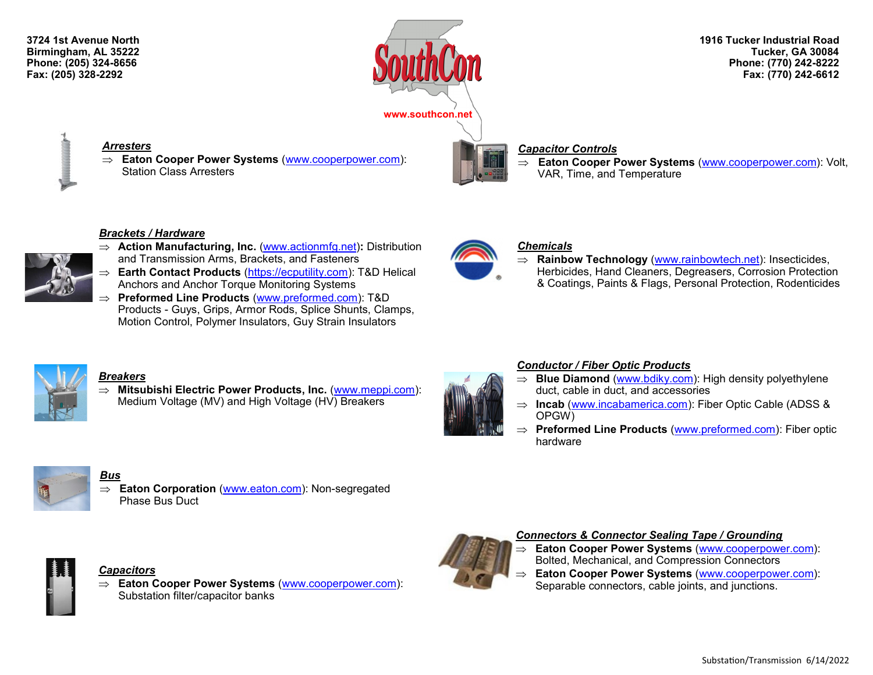**3724 1st Avenue North Birmingham, AL 35222 Phone: (205) 324-8656 Fax: (205) 328-2292**



**1916 Tucker Industrial Road Tucker, GA 30084 Phone: (770) 242-8222 Fax: (770) 242-6612**

#### *Arresters*

 **Eaton Cooper Power Systems** ([www.cooperpower.com\)](http://www.cooperpower.com): Station Class Arresters

#### *Capacitor Controls*

 **Eaton Cooper Power Systems** ([www.cooperpower.com\)](http://www.cooperpower.com): Volt, VAR, Time, and Temperature

#### *Brackets / Hardware*



- **Action Manufacturing, Inc.** ([www.actionmfg.net\)](http://www.actionmfg.net): Distribution and Transmission Arms, Brackets, and Fasteners
- **Earth Contact Products** ([https://ecputility.com\)](https://ecputility.com): T&D Helical Anchors and Anchor Torque Monitoring Systems
- **Preformed Line Products** ([www.preformed.com\):](http://www.preformed.com/) T&D Products - Guys, Grips, Armor Rods, Splice Shunts, Clamps, Motion Control, Polymer Insulators, Guy Strain Insulators



### *Chemicals*

 **Rainbow Technology** ([www.rainbowtech.net\)](http://www.rainbowtech.net): Insecticides, Herbicides, Hand Cleaners, Degreasers, Corrosion Protection & Coatings, Paints & Flags, Personal Protection, Rodenticides



### *Breakers*

⇒ Mitsubishi Electric Power Products, Inc. ([www.meppi.com\):](http://www.meppi.com/) Medium Voltage (MV) and High Voltage (HV) Breakers

### *Conductor / Fiber Optic Products* ⇒ **Blue Diamond** ([www.bdiky.com\)](http://www.bdiky.com/): High density polyethylene

hardware

- duct, cable in duct, and accessories ⇒ **Incab** [\(www.incabamerica.com\)](http://www.incabamerica.com): Fiber Optic Cable (ADSS &
- OPGW) **Preformed Line Products** ([www.preformed.com\)](http://www.preformed.com): Fiber optic



#### *Bus* **Eaton Corporation** [\(www.eaton.com\):](http://www.eaton.com) Non-segregated Phase Bus Duct



#### *Capacitors*

 **Eaton Cooper Power Systems** ([www.cooperpower.com\)](http://www.cooperpower.com): Substation filter/capacitor banks



### *Connectors & Connector Sealing Tape / Grounding*

- **Eaton Cooper Power Systems** [\(www.cooperpower.com\):](http://www.cooperpower.com) Bolted, Mechanical, and Compression Connectors
- **Eaton Cooper Power Systems** [\(www.cooperpower.com\):](http://www.cooperpower.com) Separable connectors, cable joints, and junctions.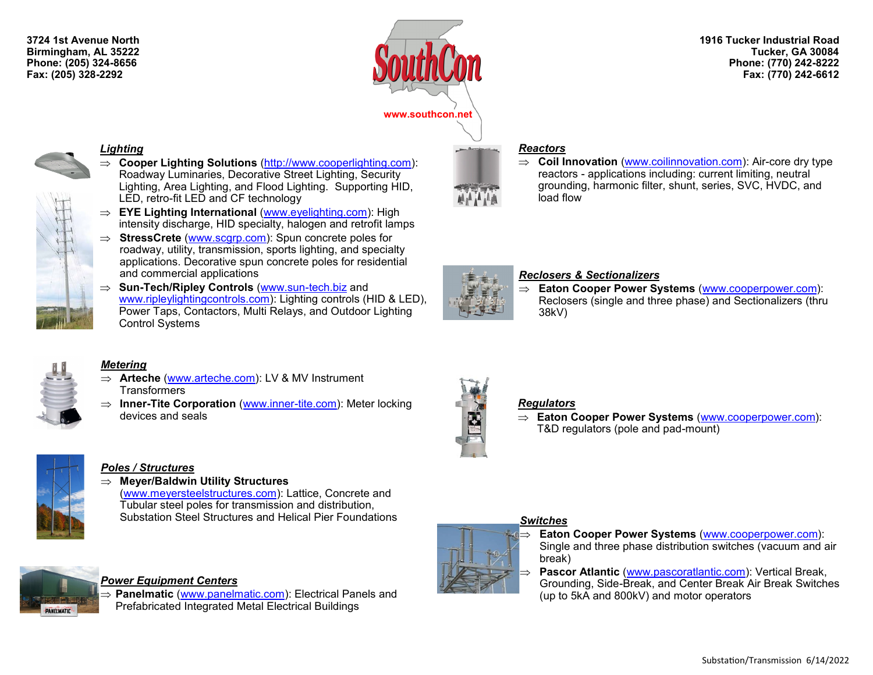**3724 1st Avenue North Birmingham, AL 35222 Phone: (205) 324-8656 Fax: (205) 328-2292**



**1916 Tucker Industrial Road Tucker, GA 30084 Phone: (770) 242-8222 Fax: (770) 242-6612**



#### *Lighting*



- **Cooper Lighting Solutions** ([http://www.cooperlighting.com\):](http://www.cooperlighting.com) Roadway Luminaries, Decorative Street Lighting, Security Lighting, Area Lighting, and Flood Lighting. Supporting HID, LED, retro-fit LED and CF technology
- **EYE Lighting International** [\(www.eyelighting.com\):](http://www.eyelighting.com/) High intensity discharge, HID specialty, halogen and retrofit lamps
- ⇒ **StressCrete** ([www.scgrp.com\):](http://www.scgrp.com) Spun concrete poles for roadway, utility, transmission, sports lighting, and specialty applications. Decorative spun concrete poles for residential and commercial applications
- **Sun-Tech/Ripley Controls** [\(www.sun](http://www.sun-tech.biz)-tech.biz and [www.ripleylightingcontrols.com\)](http://www.ripleylightingcontrols.com): Lighting controls (HID & LED), Power Taps, Contactors, Multi Relays, and Outdoor Lighting Control Systems



### *Metering*

- **Arteche** ([www.arteche.com\)](http://www.arteche.com): LV & MV Instrument **Transformers**
- $\Rightarrow$  **Inner-Tite Corporation** [\(www.inner](http://www.inner-tite.com/)-tite.com): Meter locking devices and seals



### *Poles / Structures*

**Meyer/Baldwin Utility Structures**

[\(www.meyersteelstructures.com\)](http://www.meyersteelstructures.com): Lattice, Concrete and Tubular steel poles for transmission and distribution, Substation Steel Structures and Helical Pier Foundations



### *Power Equipment Centers*

 **Panelmatic** ([www.panelmatic.com\):](http://www.panelmatic.com) Electrical Panels and Prefabricated Integrated Metal Electrical Buildings



### *Reactors*

 $\Rightarrow$  **Coil Innovation** ([www.coilinnovation.com\):](http://www.coilinnovation.com) Air-core dry type reactors - applications including: current limiting, neutral grounding, harmonic filter, shunt, series, SVC, HVDC, and load flow



## *Reclosers & Sectionalizers*

 **Eaton Cooper Power Systems** [\(www.cooperpower.com\)](http://www.cooperpower.com): Reclosers (single and three phase) and Sectionalizers (thru 38kV)



### *Regulators*

 **Eaton Cooper Power Systems** ([www.cooperpower.com\)](http://www.cooperpower.com): T&D regulators (pole and pad-mount)

# *Switches*



 **Eaton Cooper Power Systems** ([www.cooperpower.com\)](http://www.cooperpower.com): Single and three phase distribution switches (vacuum and air break)

 **Pascor Atlantic** ([www.pascoratlantic.com\):](http://www.pascoratlantic.com/) Vertical Break, Grounding, Side-Break, and Center Break Air Break Switches (up to 5kA and 800kV) and motor operators